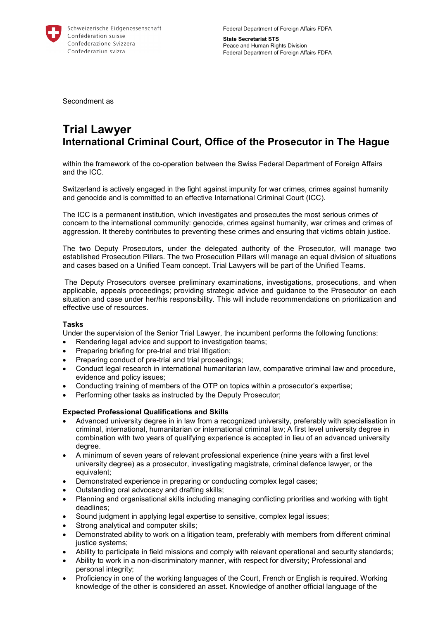

Federal Department of Foreign Affairs FDFA **State Secretariat STS**  Peace and Human Rights Division

Federal Department of Foreign Affairs FDFA

Secondment as

# **Trial Lawyer International Criminal Court, Office of the Prosecutor in The Hague**

within the framework of the co-operation between the Swiss Federal Department of Foreign Affairs and the ICC.

Switzerland is actively engaged in the fight against impunity for war crimes, crimes against humanity and genocide and is committed to an effective International Criminal Court (ICC).

The ICC is a permanent institution, which investigates and prosecutes the most serious crimes of concern to the international community: genocide, crimes against humanity, war crimes and crimes of aggression. It thereby contributes to preventing these crimes and ensuring that victims obtain justice.

The two Deputy Prosecutors, under the delegated authority of the Prosecutor, will manage two established Prosecution Pillars. The two Prosecution Pillars will manage an equal division of situations and cases based on a Unified Team concept. Trial Lawyers will be part of the Unified Teams.

 The Deputy Prosecutors oversee preliminary examinations, investigations, prosecutions, and when applicable, appeals proceedings; providing strategic advice and guidance to the Prosecutor on each situation and case under her/his responsibility. This will include recommendations on prioritization and effective use of resources.

## **Tasks**

Under the supervision of the Senior Trial Lawyer, the incumbent performs the following functions:

- Rendering legal advice and support to investigation teams;
- Preparing briefing for pre-trial and trial litigation:
- Preparing conduct of pre-trial and trial proceedings;
- Conduct legal research in international humanitarian law, comparative criminal law and procedure, evidence and policy issues;
- Conducting training of members of the OTP on topics within a prosecutor's expertise;
- Performing other tasks as instructed by the Deputy Prosecutor;

## **Expected Professional Qualifications and Skills**

- Advanced university degree in in law from a recognized university, preferably with specialisation in criminal, international, humanitarian or international criminal law; A first level university degree in combination with two years of qualifying experience is accepted in lieu of an advanced university degree.
- A minimum of seven years of relevant professional experience (nine years with a first level university degree) as a prosecutor, investigating magistrate, criminal defence lawyer, or the equivalent;
- Demonstrated experience in preparing or conducting complex legal cases;
- Outstanding oral advocacy and drafting skills;
- Planning and organisational skills including managing conflicting priorities and working with tight deadlines;
- Sound judgment in applying legal expertise to sensitive, complex legal issues;
- Strong analytical and computer skills;
- Demonstrated ability to work on a litigation team, preferably with members from different criminal justice systems;
- Ability to participate in field missions and comply with relevant operational and security standards;
- Ability to work in a non-discriminatory manner, with respect for diversity; Professional and personal integrity;
- Proficiency in one of the working languages of the Court, French or English is required. Working knowledge of the other is considered an asset. Knowledge of another official language of the